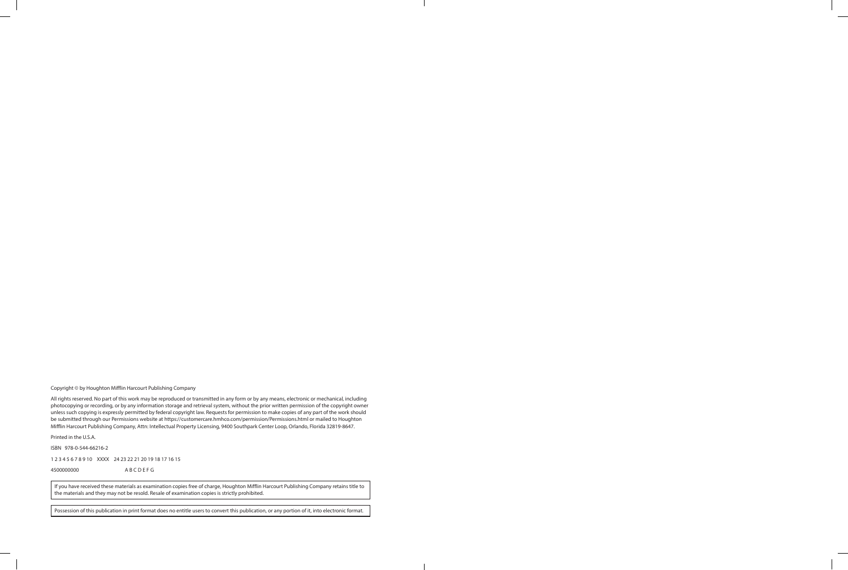Copyright © by Houghton Mifflin Harcourt Publishing Company

All rights reserved. No part of this work may be reproduced or transmitted in any form or by any means, electronic or mechanical, including photocopying or recording, or by any information storage and retrieval system, without the prior written permission of the copyright owner unless such copying is expressly permitted by federal copyright law. Requests for permission to make copies of any part of the work should be submitted through our Permissions website at https://customercare.hmhco.com/permission/Permissions.html or mailed to Houghton Mifflin Harcourt Publishing Company, Attn: Intellectual Property Licensing, 9400 Southpark Center Loop, Orlando, Florida 32819-8647.

Printed in the U.S.A.

ISBN 978-0-544-66216-2

1 2 3 4 5 6 7 8 9 10 XXXX 24 23 22 21 20 19 18 17 16 15

4500000000 A B C D E F G

If you have received these materials as examination copies free of charge, Houghton Mifflin Harcourt Publishing Company retains title to the materials and they may not be resold. Resale of examination copies is strictly prohibited.

Possession of this publication in print format does no entitle users to convert this publication, or any portion of it, into electronic format.